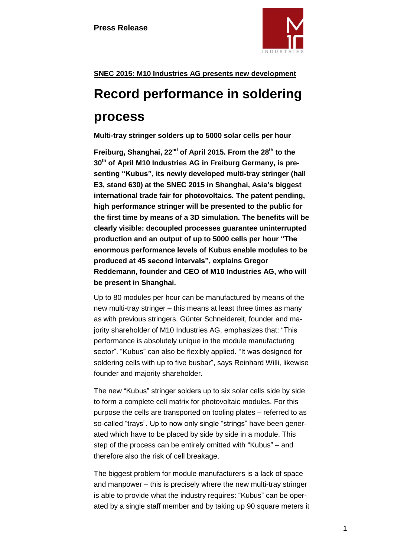

# **SNEC 2015: M10 Industries AG presents new development**

# **Record performance in soldering**

# **process**

**Multi-tray stringer solders up to 5000 solar cells per hour**

**Freiburg, Shanghai, 22nd of April 2015. From the 28th to the 30th of April M10 Industries AG in Freiburg Germany, is presenting "Kubus", its newly developed multi-tray stringer (hall E3, stand 630) at the SNEC 2015 in Shanghai, Asia's biggest international trade fair for photovoltaics. The patent pending, high performance stringer will be presented to the public for the first time by means of a 3D simulation. The benefits will be clearly visible: decoupled processes guarantee uninterrupted production and an output of up to 5000 cells per hour "The enormous performance levels of Kubus enable modules to be produced at 45 second intervals", explains Gregor Reddemann, founder and CEO of M10 Industries AG, who will be present in Shanghai.**

Up to 80 modules per hour can be manufactured by means of the new multi-tray stringer – this means at least three times as many as with previous stringers. Günter Schneidereit, founder and majority shareholder of M10 Industries AG, emphasizes that: "This performance is absolutely unique in the module manufacturing sector". "Kubus" can also be flexibly applied. "It was designed for soldering cells with up to five busbar", says Reinhard Willi, likewise founder and majority shareholder.

The new "Kubus" stringer solders up to six solar cells side by side to form a complete cell matrix for photovoltaic modules. For this purpose the cells are transported on tooling plates – referred to as so-called "trays". Up to now only single "strings" have been generated which have to be placed by side by side in a module. This step of the process can be entirely omitted with "Kubus" – and therefore also the risk of cell breakage.

The biggest problem for module manufacturers is a lack of space and manpower – this is precisely where the new multi-tray stringer is able to provide what the industry requires: "Kubus" can be operated by a single staff member and by taking up 90 square meters it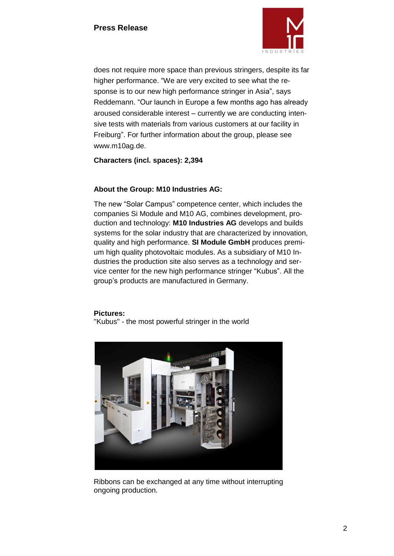

does not require more space than previous stringers, despite its far higher performance. "We are very excited to see what the response is to our new high performance stringer in Asia", says Reddemann. "Our launch in Europe a few months ago has already aroused considerable interest – currently we are conducting intensive tests with materials from various customers at our facility in Freiburg". For further information about the group, please see www.m10ag.de.

**Characters (incl. spaces): 2,394**

## **About the Group: M10 Industries AG:**

The new "Solar Campus" competence center, which includes the companies Si Module and M10 AG, combines development, production and technology: **M10 Industries AG** develops and builds systems for the solar industry that are characterized by innovation, quality and high performance. **SI Module GmbH** produces premium high quality photovoltaic modules. As a subsidiary of M10 Industries the production site also serves as a technology and service center for the new high performance stringer "Kubus". All the group's products are manufactured in Germany.

### **Pictures:**

"Kubus" - the most powerful stringer in the world



Ribbons can be exchanged at any time without interrupting ongoing production.